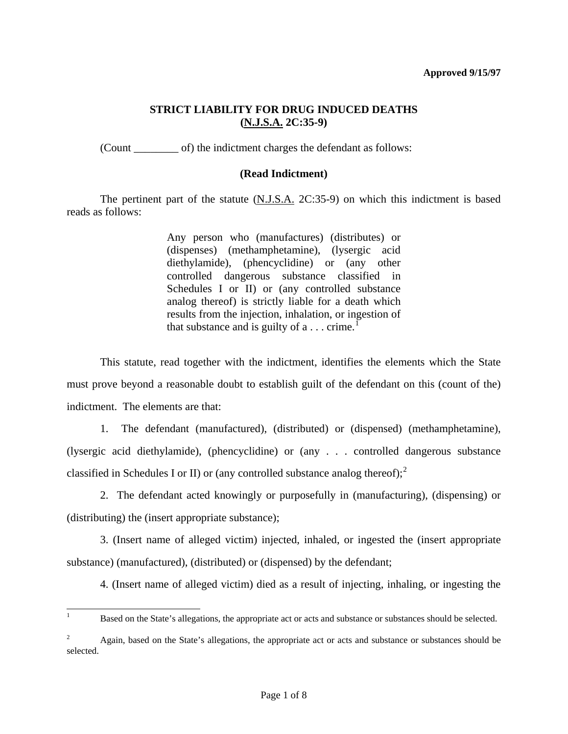#### **Approved 9/15/97**

### **STRICT LIABILITY FOR DRUG INDUCED DEATHS (N.J.S.A. 2C:35-9)**

(Count \_\_\_\_\_\_\_\_ of) the indictment charges the defendant as follows:

### **(Read Indictment)**

 The pertinent part of the statute (N.J.S.A. 2C:35-9) on which this indictment is based reads as follows:

> Any person who (manufactures) (distributes) or (dispenses) (methamphetamine), (lysergic acid diethylamide), (phencyclidine) or (any other controlled dangerous substance classified in Schedules I or II) or (any controlled substance analog thereof) is strictly liable for a death which results from the injection, inhalation, or ingestion of that substance and is guilty of  $a \dots$  crime.<sup>[1](#page-0-0)</sup>

 This statute, read together with the indictment, identifies the elements which the State must prove beyond a reasonable doubt to establish guilt of the defendant on this (count of the) indictment. The elements are that:

 1. The defendant (manufactured), (distributed) or (dispensed) (methamphetamine), (lysergic acid diethylamide), (phencyclidine) or (any . . . controlled dangerous substance classified in Schedules I or II) or (any controlled substance analog thereof);  $2^2$  $2^2$ 

 2. The defendant acted knowingly or purposefully in (manufacturing), (dispensing) or (distributing) the (insert appropriate substance);

<span id="page-0-2"></span> 3. (Insert name of alleged victim) injected, inhaled, or ingested the (insert appropriate substance) (manufactured), (distributed) or (dispensed) by the defendant;

4. (Insert name of alleged victim) died as a result of injecting, inhaling, or ingesting the

l

<span id="page-0-0"></span><sup>1</sup> Based on the State's allegations, the appropriate act or acts and substance or substances should be selected.

<span id="page-0-1"></span><sup>2</sup> Again, based on the State's allegations, the appropriate act or acts and substance or substances should be selected.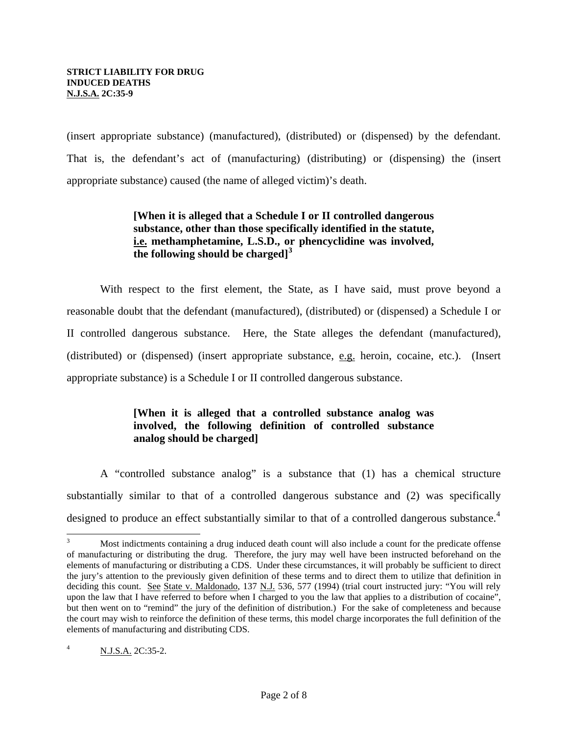(insert appropriate substance) (manufactured), (distributed) or (dispensed) by the defendant. That is, the defendant's act of (manufacturing) (distributing) or (dispensing) the (insert appropriate substance) caused (the name of alleged victim)'s death.

# **[When it is alleged that a Schedule I or II controlled dangerous substance, other than those specifically identified in the statute, i.e. methamphetamine, L.S.D., or phencyclidine was involved, the following should be charged][3](#page-0-2)**

 With respect to the first element, the State, as I have said, must prove beyond a reasonable doubt that the defendant (manufactured), (distributed) or (dispensed) a Schedule I or II controlled dangerous substance. Here, the State alleges the defendant (manufactured), (distributed) or (dispensed) (insert appropriate substance, e.g. heroin, cocaine, etc.). (Insert appropriate substance) is a Schedule I or II controlled dangerous substance.

# **[When it is alleged that a controlled substance analog was involved, the following definition of controlled substance analog should be charged]**

 A "controlled substance analog" is a substance that (1) has a chemical structure substantially similar to that of a controlled dangerous substance and (2) was specifically designed to produce an effect substantially similar to that of a controlled dangerous substance.<sup>[4](#page-1-0)</sup>

<span id="page-1-0"></span> $\overline{a}$ 3 Most indictments containing a drug induced death count will also include a count for the predicate offense of manufacturing or distributing the drug. Therefore, the jury may well have been instructed beforehand on the elements of manufacturing or distributing a CDS. Under these circumstances, it will probably be sufficient to direct the jury's attention to the previously given definition of these terms and to direct them to utilize that definition in deciding this count. See State v. Maldonado, 137 N.J. 536, 577 (1994) (trial court instructed jury: "You will rely upon the law that I have referred to before when I charged to you the law that applies to a distribution of cocaine", but then went on to "remind" the jury of the definition of distribution.) For the sake of completeness and because the court may wish to reinforce the definition of these terms, this model charge incorporates the full definition of the elements of manufacturing and distributing CDS.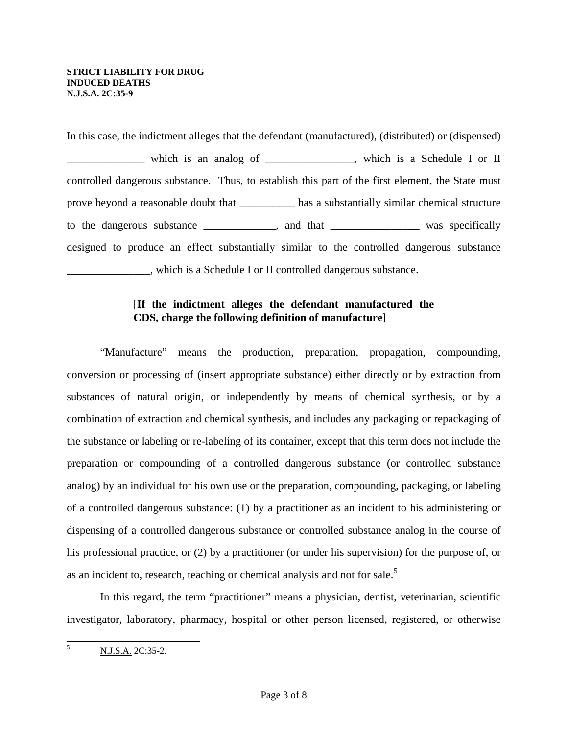#### **STRICT LIABILITY FOR DRUG INDUCED DEATHS N.J.S.A. 2C:35-9**

In this case, the indictment alleges that the defendant (manufactured), (distributed) or (dispensed) \_\_\_\_\_\_\_\_\_\_\_\_\_\_ which is an analog of \_\_\_\_\_\_\_\_\_\_\_\_\_\_\_\_, which is a Schedule I or II controlled dangerous substance. Thus, to establish this part of the first element, the State must prove beyond a reasonable doubt that \_\_\_\_\_\_\_\_\_\_ has a substantially similar chemical structure to the dangerous substance \_\_\_\_\_\_\_\_\_\_, and that \_\_\_\_\_\_\_\_\_\_\_\_\_ was specifically designed to produce an effect substantially similar to the controlled dangerous substance \_\_\_\_\_\_\_\_\_\_\_\_\_\_\_, which is a Schedule I or II controlled dangerous substance.

### [**If the indictment alleges the defendant manufactured the CDS, charge the following definition of manufacture]**

 "Manufacture" means the production, preparation, propagation, compounding, conversion or processing of (insert appropriate substance) either directly or by extraction from substances of natural origin, or independently by means of chemical synthesis, or by a combination of extraction and chemical synthesis, and includes any packaging or repackaging of the substance or labeling or re-labeling of its container, except that this term does not include the preparation or compounding of a controlled dangerous substance (or controlled substance analog) by an individual for his own use or the preparation, compounding, packaging, or labeling of a controlled dangerous substance: (1) by a practitioner as an incident to his administering or dispensing of a controlled dangerous substance or controlled substance analog in the course of his professional practice, or (2) by a practitioner (or under his supervision) for the purpose of, or as an incident to, research, teaching or chemical analysis and not for sale.<sup>[5](#page-1-0)</sup>

<span id="page-2-0"></span> In this regard, the term "practitioner" means a physician, dentist, veterinarian, scientific investigator, laboratory, pharmacy, hospital or other person licensed, registered, or otherwise

 5 N.J.S.A. 2C:35-2.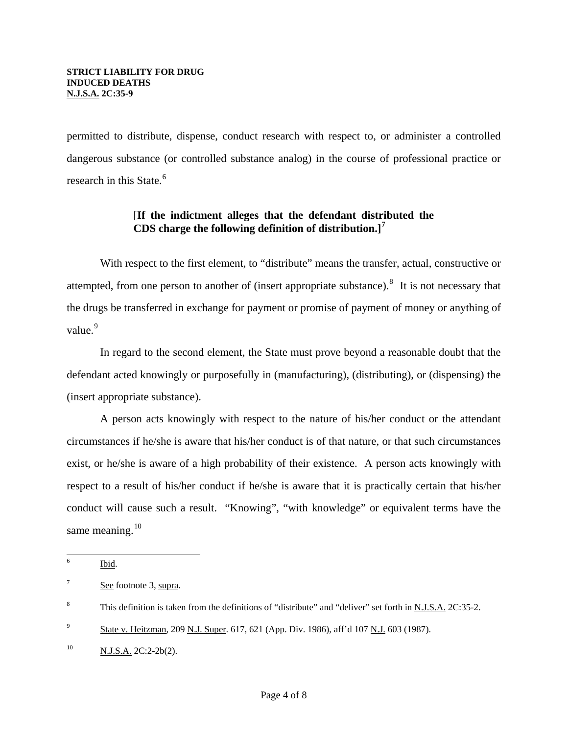permitted to distribute, dispense, conduct research with respect to, or administer a controlled dangerous substance (or controlled substance analog) in the course of professional practice or research in this State.<sup>[6](#page-2-0)</sup>

# [**If the indictment alleges that the defendant distributed the CDS charge the following definition of distribution.][7](#page-3-0)**

 With respect to the first element, to "distribute" means the transfer, actual, constructive or attempted, from one person to another of (insert appropriate substance).<sup>[8](#page-3-1)</sup> It is not necessary that the drugs be transferred in exchange for payment or promise of payment of money or anything of value.<sup>[9](#page-3-2)</sup>

 In regard to the second element, the State must prove beyond a reasonable doubt that the defendant acted knowingly or purposefully in (manufacturing), (distributing), or (dispensing) the (insert appropriate substance).

 A person acts knowingly with respect to the nature of his/her conduct or the attendant circumstances if he/she is aware that his/her conduct is of that nature, or that such circumstances exist, or he/she is aware of a high probability of their existence. A person acts knowingly with respect to a result of his/her conduct if he/she is aware that it is practically certain that his/her conduct will cause such a result. "Knowing", "with knowledge" or equivalent terms have the same meaning. $10$ 

 6 Ibid.

<span id="page-3-0"></span><sup>7</sup> See footnote 3, supra.

<span id="page-3-1"></span><sup>8</sup> This definition is taken from the definitions of "distribute" and "deliver" set forth in N.J.S.A. 2C:35-2.

<span id="page-3-2"></span><sup>9</sup> State v. Heitzman, 209 N.J. Super. 617, 621 (App. Div. 1986), aff'd 107 N.J. 603 (1987).

<span id="page-3-3"></span> $^{10}$  N.J.S.A. 2C:2-2b(2).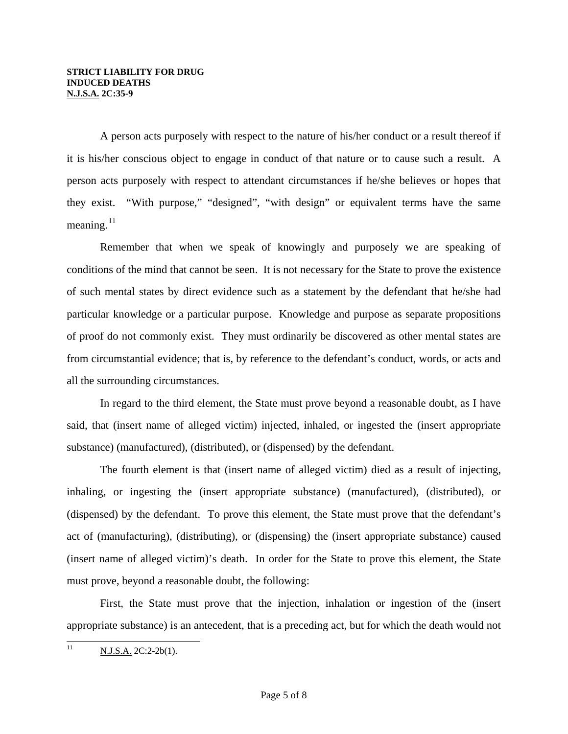A person acts purposely with respect to the nature of his/her conduct or a result thereof if it is his/her conscious object to engage in conduct of that nature or to cause such a result. A person acts purposely with respect to attendant circumstances if he/she believes or hopes that they exist. "With purpose," "designed", "with design" or equivalent terms have the same meaning. $^{11}$  $^{11}$  $^{11}$ 

 Remember that when we speak of knowingly and purposely we are speaking of conditions of the mind that cannot be seen. It is not necessary for the State to prove the existence of such mental states by direct evidence such as a statement by the defendant that he/she had particular knowledge or a particular purpose. Knowledge and purpose as separate propositions of proof do not commonly exist. They must ordinarily be discovered as other mental states are from circumstantial evidence; that is, by reference to the defendant's conduct, words, or acts and all the surrounding circumstances.

 In regard to the third element, the State must prove beyond a reasonable doubt, as I have said, that (insert name of alleged victim) injected, inhaled, or ingested the (insert appropriate substance) (manufactured), (distributed), or (dispensed) by the defendant.

<span id="page-4-0"></span> The fourth element is that (insert name of alleged victim) died as a result of injecting, inhaling, or ingesting the (insert appropriate substance) (manufactured), (distributed), or (dispensed) by the defendant. To prove this element, the State must prove that the defendant's act of (manufacturing), (distributing), or (dispensing) the (insert appropriate substance) caused (insert name of alleged victim)'s death. In order for the State to prove this element, the State must prove, beyond a reasonable doubt, the following:

 First, the State must prove that the injection, inhalation or ingestion of the (insert appropriate substance) is an antecedent, that is a preceding act, but for which the death would not

 $11$ N.J.S.A. 2C:2-2b(1).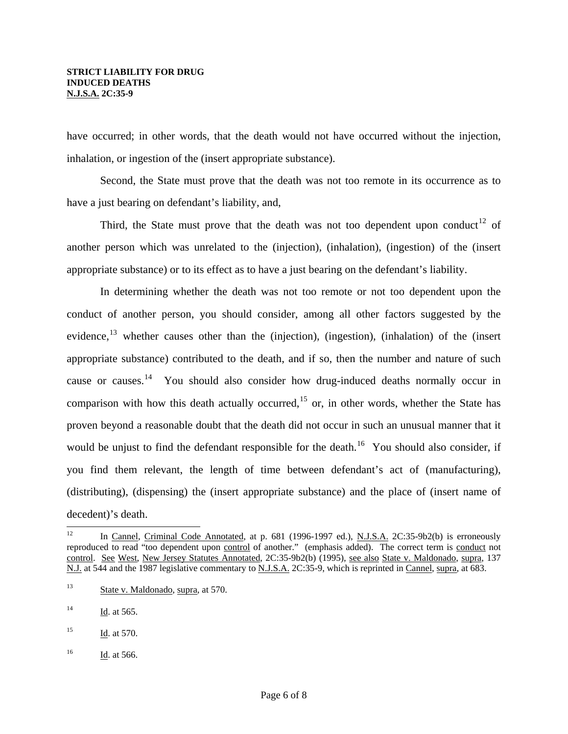have occurred; in other words, that the death would not have occurred without the injection, inhalation, or ingestion of the (insert appropriate substance).

 Second, the State must prove that the death was not too remote in its occurrence as to have a just bearing on defendant's liability, and,

Third, the State must prove that the death was not too dependent upon conduct<sup>[12](#page-4-0)</sup> of another person which was unrelated to the (injection), (inhalation), (ingestion) of the (insert appropriate substance) or to its effect as to have a just bearing on the defendant's liability.

 In determining whether the death was not too remote or not too dependent upon the conduct of another person, you should consider, among all other factors suggested by the evidence,<sup>[13](#page-5-0)</sup> whether causes other than the (injection), (ingestion), (inhalation) of the (insert appropriate substance) contributed to the death, and if so, then the number and nature of such cause or causes.<sup>[14](#page-5-1)</sup> You should also consider how drug-induced deaths normally occur in comparison with how this death actually occurred,<sup>[15](#page-5-2)</sup> or, in other words, whether the State has proven beyond a reasonable doubt that the death did not occur in such an unusual manner that it would be unjust to find the defendant responsible for the death.<sup>[16](#page-5-3)</sup> You should also consider, if you find them relevant, the length of time between defendant's act of (manufacturing), (distributing), (dispensing) the (insert appropriate substance) and the place of (insert name of decedent)'s death.

<span id="page-5-3"></span><sup>16</sup> Id. at 566.

 $12<sup>°</sup>$ In Cannel, Criminal Code Annotated, at p. 681 (1996-1997 ed.), N.J.S.A. 2C:35-9b2(b) is erroneously reproduced to read "too dependent upon control of another." (emphasis added). The correct term is conduct not control. See West, New Jersey Statutes Annotated, 2C:35-9b2(b) (1995), see also State v. Maldonado, supra, 137 N.J. at 544 and the 1987 legislative commentary to N.J.S.A. 2C:35-9, which is reprinted in Cannel, supra, at 683.

<span id="page-5-4"></span><span id="page-5-0"></span><sup>13</sup> State v. Maldonado, supra, at 570.

<span id="page-5-1"></span> $14$  Id. at 565.

<span id="page-5-2"></span> $15$  Id. at 570.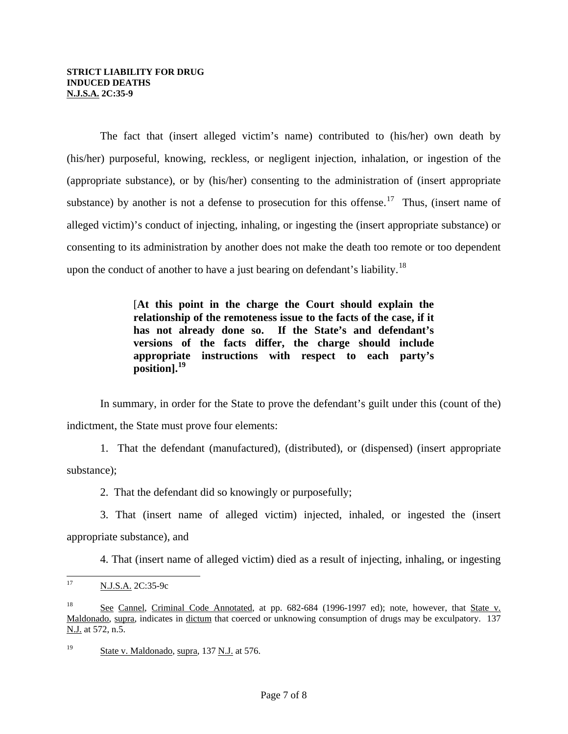The fact that (insert alleged victim's name) contributed to (his/her) own death by (his/her) purposeful, knowing, reckless, or negligent injection, inhalation, or ingestion of the (appropriate substance), or by (his/her) consenting to the administration of (insert appropriate substance) by another is not a defense to prosecution for this offense.<sup>[17](#page-5-4)</sup> Thus, (insert name of alleged victim)'s conduct of injecting, inhaling, or ingesting the (insert appropriate substance) or consenting to its administration by another does not make the death too remote or too dependent upon the conduct of another to have a just bearing on defendant's liability.<sup>[18](#page-6-0)</sup>

> [**At this point in the charge the Court should explain the relationship of the remoteness issue to the facts of the case, if it has not already done so. If the State's and defendant's versions of the facts differ, the charge should include appropriate instructions with respect to each party's position].[19](#page-6-1)**

 In summary, in order for the State to prove the defendant's guilt under this (count of the) indictment, the State must prove four elements:

 1. That the defendant (manufactured), (distributed), or (dispensed) (insert appropriate substance);

2. That the defendant did so knowingly or purposefully;

 3. That (insert name of alleged victim) injected, inhaled, or ingested the (insert appropriate substance), and

4. That (insert name of alleged victim) died as a result of injecting, inhaling, or ingesting

 $17\,$ N.J.S.A. 2C:35-9c

<span id="page-6-0"></span><sup>&</sup>lt;sup>18</sup> See Cannel, Criminal Code Annotated, at pp. 682-684 (1996-1997 ed); note, however, that State v. Maldonado, supra, indicates in dictum that coerced or unknowing consumption of drugs may be exculpatory. 137 N.J. at 572, n.5.

<span id="page-6-1"></span><sup>19</sup> State v. Maldonado, supra, 137 N.J. at 576.